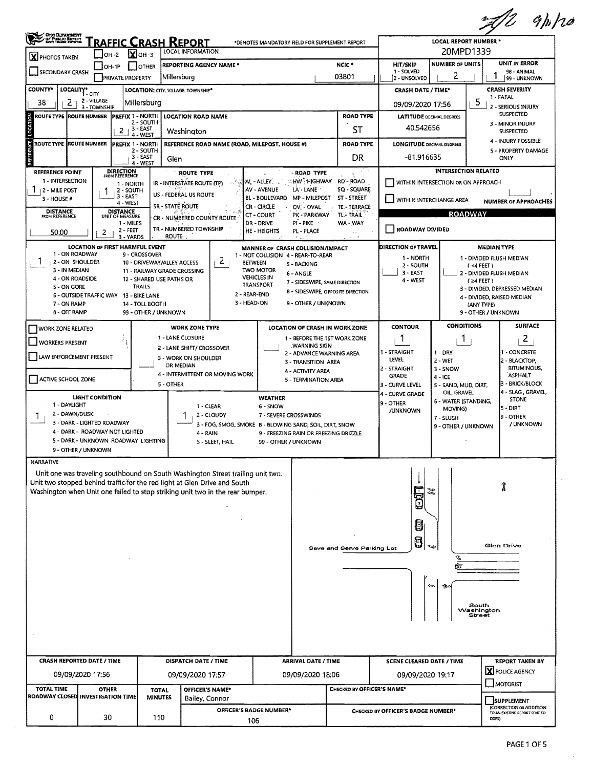|                                                                                                                                                                                                                                                                     |                                                                                                                                                                                                         |                                                                                                        |                                                                                                                                                                                                                                                               |                                                                                                                              |                                                                                             |                                                                                     | $Z$ gh/ $z$                                                                                                                                                      |  |  |
|---------------------------------------------------------------------------------------------------------------------------------------------------------------------------------------------------------------------------------------------------------------------|---------------------------------------------------------------------------------------------------------------------------------------------------------------------------------------------------------|--------------------------------------------------------------------------------------------------------|---------------------------------------------------------------------------------------------------------------------------------------------------------------------------------------------------------------------------------------------------------------|------------------------------------------------------------------------------------------------------------------------------|---------------------------------------------------------------------------------------------|-------------------------------------------------------------------------------------|------------------------------------------------------------------------------------------------------------------------------------------------------------------|--|--|
| <b>CHOO DEPARTMENT</b><br>OF PUBLIC BAFETT                                                                                                                                                                                                                          | <b>RAFFIC CRASH REPORT</b>                                                                                                                                                                              |                                                                                                        | *DENOTES MANDATORY FIELD FOR SUPPLEMENT REPORT                                                                                                                                                                                                                |                                                                                                                              |                                                                                             | LOCAL REPORT NUMBER *<br>20MPD1339                                                  |                                                                                                                                                                  |  |  |
| <b>OH -2</b><br>X PHOTOS TAKEN                                                                                                                                                                                                                                      | $X$ OH -3                                                                                                                                                                                               | LOCAL INFORMATION<br><b>REPORTING AGENCY NAME *</b>                                                    |                                                                                                                                                                                                                                                               | NCIC <sup>*</sup>                                                                                                            | HIT/SKIP                                                                                    | <b>UNIT IN ERROR</b>                                                                |                                                                                                                                                                  |  |  |
| $OH-1P$<br>SECONDARY CRASH<br><b>PRIVATE PROPERTY</b>                                                                                                                                                                                                               | <b>I</b> JOTHER<br>Millersburg                                                                                                                                                                          |                                                                                                        |                                                                                                                                                                                                                                                               | 03801                                                                                                                        | 1 - SOLVED<br>2 - UNSOLVED                                                                  | <b>NUMBER OF UNITS</b><br>2                                                         | 98 - ANIMAL<br>99 - UNKNOWN                                                                                                                                      |  |  |
| <b>COUNTY*</b><br>LOCALITY* CITY                                                                                                                                                                                                                                    | <b>LOCATION: CITY, VILLAGE TOWNSHIP*</b>                                                                                                                                                                |                                                                                                        |                                                                                                                                                                                                                                                               |                                                                                                                              | <b>CRASH DATE / TIME*</b>                                                                   |                                                                                     | <b>CRASH SEVERITY</b>                                                                                                                                            |  |  |
| 2 - VILLAGE<br>$\mathbf{2}$<br>38<br>3 - TOWNSHIP                                                                                                                                                                                                                   | Millersburg                                                                                                                                                                                             |                                                                                                        |                                                                                                                                                                                                                                                               |                                                                                                                              | 09/09/2020 17:56                                                                            | 5                                                                                   | 1 - FATAL<br>2 - SERIOUS INJURY                                                                                                                                  |  |  |
| <b>PREFIX 1 - NORTH</b><br>ROUTE TYPE IROUTE NUMBER                                                                                                                                                                                                                 | 2 - SOUTH                                                                                                                                                                                               | <b>LOCATION ROAD NAME</b>                                                                              |                                                                                                                                                                                                                                                               | <b>ROAD TYPE</b>                                                                                                             | <b>LATITUDE DECIMAL DEGREES</b>                                                             |                                                                                     | <b>SUSPECTED</b>                                                                                                                                                 |  |  |
| $2 + 3 - EAST$                                                                                                                                                                                                                                                      | 4 - WEST                                                                                                                                                                                                | Washington                                                                                             |                                                                                                                                                                                                                                                               | ST                                                                                                                           | 40.542656                                                                                   |                                                                                     | 3 - MINOR INJURY<br><b>SUSPECTED</b>                                                                                                                             |  |  |
| <b>ROUTE TYPE ROUTE NUMBER</b><br><b>PREFIX 1 - NORTH</b>                                                                                                                                                                                                           | 2 - SOUTH                                                                                                                                                                                               | REFERENCE ROAD NAME (ROAD, MILEPOST, HOUSE #)                                                          |                                                                                                                                                                                                                                                               | <b>ROAD TYPE</b>                                                                                                             | <b>LONGITUDE DECIMAL DEGREES</b>                                                            |                                                                                     | 4 - INJURY POSSIBLE<br><b>S - PROPERTY DAMAGE</b>                                                                                                                |  |  |
|                                                                                                                                                                                                                                                                     | 3 - EAST<br>Glen<br>4 - WEST                                                                                                                                                                            |                                                                                                        |                                                                                                                                                                                                                                                               | DR                                                                                                                           | -81.916635                                                                                  |                                                                                     | ONLY                                                                                                                                                             |  |  |
| <b>DIRECTION</b><br>FROM REFERENCE<br><b>REFERENCE POINT</b><br>1 - INTERSECTION<br>1 - NORTH<br>$\frac{1}{2}$   2 - MILE POST<br>2 - SOUTH<br>3 - EAST<br>3 - HOUSE #<br>4 - WEST<br>DISTANCE<br>UNIT OF MEASURE<br><b>DISTANCE</b><br>FROM REFERENCE<br>1 - MILES | <b>SR - STATE ROUTE</b>                                                                                                                                                                                 | <b>ROUTE TYPE</b><br>IR - INTERSTATE ROUTE (TP)<br>US - FEDERAL US ROUTE<br>CR - NUMBERED COUNTY ROUTE | ROAD TYPE<br>HW - Highway -<br>AL - ALLEY<br>AV - AVENUE<br>LA - LANE<br>BL - BOULEVARD<br><b>MP - MILEPOST</b><br>CR - CIRCLE<br>OV - OVAL<br>CT-COURT<br>PK - PARKWAY<br>PI - PIKE<br>DR - DRIVE                                                            | RD-ROAD<br>SQ - SQUARE<br>ST - STREET<br>TE - TERRACE<br>TL-TRAIL<br>WA - WAY                                                | WITHIN INTERCHANGE AREA                                                                     | <b>INTERSECTION RELATED</b><br>WITHIN INTERSECTION OR ON APPROACH<br><b>ROADWAY</b> | <b>NUMBER OF APPROACHES</b>                                                                                                                                      |  |  |
| $2 - FEET$<br>50.00<br>2<br>3 - YARDS                                                                                                                                                                                                                               | <b>ROUTE</b>                                                                                                                                                                                            | TR - NUMBERED TOWNSHIP                                                                                 | HE - HEIGHTS<br>PL - PLACE<br>12 U.S. 1                                                                                                                                                                                                                       | $A + A$                                                                                                                      | ROADWAY DIVIDED                                                                             |                                                                                     |                                                                                                                                                                  |  |  |
| <b>LOCATION OF FIRST HARMFUL EVENT</b><br>1 - ON ROADWAY<br>T<br>2 - ON SHOULDER<br>3 - IN MEDIAN<br>4 - ON ROADSIDE<br>S - ON GORE<br>6 - OUTSIDE TRAFFIC WAY 13 - BIKE LANE<br>7 - ON RAMP<br>8 - OFF RAMP                                                        | 9 - CROSSOVER<br>10 - DRIVEWAY/ALLEY ACCESS<br>11 - RAILWAY GRADE CROSSING<br>12 - SHARED USE PATHS OR<br><b>TRAILS</b><br>14 - TOLL BOOTH<br>99 - OTHER / UNKNOWN                                      | Z<br><b>BETWEEN</b><br>2 - REAR-END<br>3 - HEAD-ON                                                     | MANNER OF CRASH COLLISION/IMPACT<br>1 - NOT COLLISION 4 - REAR-TO-REAR<br>S - BACKING<br><b>TWO MOTOR</b><br>6 - ANGLE<br><b>VEHICLES IN</b><br>7 - SIDESWIPE, SAME DIRECTION<br><b>TRANSPORT</b><br>8 - SIDESWIPE, OPPOSITE DIRECTION<br>9 - OTHER / UNKNOWN |                                                                                                                              | <b>DIRECTION OF TRAVEL</b><br>1 - NORTH<br>2 - SOUTH<br>$3 - EAST$<br>4 - WEST              | (4FEE)<br>$(24$ FEET)<br>(ANY TYPE)                                                 | <b>MEDIAN TYPE</b><br>1 - DIVIDED FLUSH MEDIAN<br>2 - DIVIDED FLUSH MEDIAN<br>3 - DIVIDED, DEPRESSED MEDIAN<br>4 - DIVIDED, RAISED MEDIAN<br>9 - OTHER / UNKNOWN |  |  |
| WORK ZONE RELATED                                                                                                                                                                                                                                                   |                                                                                                                                                                                                         | <b>WORK ZONE TYPE</b>                                                                                  | LOCATION OF CRASH IN WORK ZONE                                                                                                                                                                                                                                |                                                                                                                              | <b>CONTOUR</b>                                                                              | <b>CONDITIONS</b>                                                                   | <b>SURFACE</b>                                                                                                                                                   |  |  |
| <b>WORKERS PRESENT</b>                                                                                                                                                                                                                                              |                                                                                                                                                                                                         | 1 - LANE CLOSURE                                                                                       | 1 - BEFORE THE 1ST WORK ZONE                                                                                                                                                                                                                                  |                                                                                                                              | 1                                                                                           | L                                                                                   | $\mathbf{2}$                                                                                                                                                     |  |  |
| LAW ENFORCEMENT PRESENT                                                                                                                                                                                                                                             | OR MEDIAN                                                                                                                                                                                               | 2 - LANE SHIFT/ CROSSOVER<br>3 - WORK ON SHOULDER<br>4 - INTERMITTENT OR MOVING WORK                   | WARNING SIGN<br>2 - ADVANCE WARNING AREA<br>3 - TRANSITION AREA<br>4 - ACTIVITY AREA                                                                                                                                                                          |                                                                                                                              |                                                                                             | $1 - DRY$<br>2 - WET<br>3 - SNOW<br>4 - ICE                                         | - CONCRETE<br>2 - BLACKTOP,<br><b>BITUMINOUS,</b><br>ASPHALT                                                                                                     |  |  |
| ACTIVE SCHOOL ZONE<br><b>LIGHT CONDITION</b><br>1 - DAYLIGHT<br>2 - DAWN/DUSK<br>3 - DARK - LIGHTED ROADWAY<br>4 - DARK - ROADWAY NOT LIGHTED<br>5 - DARK - UNKNOWN ROADWAY LIGHTING                                                                                | 5 - TERMINATION AREA<br><b>WEATHER</b><br>6 - SNOW<br>7 - SEVERE CROSSWINDS<br>3 - FOG, SMOG, SMOKE B - BLOWING SAND, SOIL, DIRT, SNOW<br>9 - FREEZING RAIN OR FREEZING DRIZZLE<br>99 - OTHER / UNKNOWN |                                                                                                        | 3 - CURVE LEVEL<br>4 - CURVE GRADE<br>9 - OTHER<br>/UNKNOWN                                                                                                                                                                                                   | 5 - SAND, MUD, DIRT,<br>OIL, GRAVEL<br>6 - WATER (STANDING,<br>MOVING)<br>7 - SLUSH<br>9 - OTHER / UNKNOWN                   | 3 - BRICK/BLOCK<br>4 - SLAG, GRAVEL,<br><b>STONE</b><br>5 - DIRT<br>19 - OTHER<br>/ UNKNOWN |                                                                                     |                                                                                                                                                                  |  |  |
| 9 - OTHER / UNKNOWN<br><b>NARRATIVE</b>                                                                                                                                                                                                                             |                                                                                                                                                                                                         |                                                                                                        |                                                                                                                                                                                                                                                               |                                                                                                                              |                                                                                             |                                                                                     |                                                                                                                                                                  |  |  |
| Unit one was traveling southbound on South Washington Street trailing unit two.<br>Unit two stopped behind traffic for the red light at Glen Drive and South<br>Washington when Unit one failed to stop striking unit two in the rear bumper.                       |                                                                                                                                                                                                         |                                                                                                        |                                                                                                                                                                                                                                                               | Save and Serve Parking Lot                                                                                                   | S<br>舄<br>8<br>0<br>$\Rightarrow$                                                           |                                                                                     | Glen Drive                                                                                                                                                       |  |  |
|                                                                                                                                                                                                                                                                     |                                                                                                                                                                                                         |                                                                                                        |                                                                                                                                                                                                                                                               |                                                                                                                              | $\tilde{\phantom{a}}$                                                                       | ¢<br>South<br>Washington<br>Street                                                  |                                                                                                                                                                  |  |  |
| <b>CRASH REPORTED DATE / TIME</b>                                                                                                                                                                                                                                   |                                                                                                                                                                                                         | DISPATCH DATE / TIME                                                                                   | <b>ARRIVAL DATE / TIME</b>                                                                                                                                                                                                                                    |                                                                                                                              | <b>SCENE CLEARED DATE / TIME</b>                                                            |                                                                                     | <b>REPORT TAKEN BY</b>                                                                                                                                           |  |  |
| 09/09/2020 17:56                                                                                                                                                                                                                                                    |                                                                                                                                                                                                         | 09/09/2020 17:57                                                                                       | 09/09/2020 18:06                                                                                                                                                                                                                                              |                                                                                                                              | 09/09/2020 19:17                                                                            |                                                                                     | X POLICE AGENCY<br>$\Box$ MOTORIST                                                                                                                               |  |  |
| <b>TOTAL TIME</b><br><b>OTHER</b>                                                                                                                                                                                                                                   | <b>TOTAL</b><br><b>MINUTES</b>                                                                                                                                                                          | OFFICER'S NAME*<br>Bailey, Connor                                                                      |                                                                                                                                                                                                                                                               | CHECKED BY OFFICER'S NAME*                                                                                                   |                                                                                             |                                                                                     |                                                                                                                                                                  |  |  |
| <b>ROADWAY CLOSED INVESTIGATION TIME</b>                                                                                                                                                                                                                            |                                                                                                                                                                                                         |                                                                                                        |                                                                                                                                                                                                                                                               | <b>SUPPLEMENT</b><br>(CORRECTION OR ADDITION<br>CHECKED BY OFFICER'S BADGE NUMBER*<br>TO AN EXISTING REPORT SENT TO<br>OOPS) |                                                                                             |                                                                                     |                                                                                                                                                                  |  |  |

 $\mathcal{L}_{\mathcal{L}}$ 

 $\hat{\mathcal{A}}$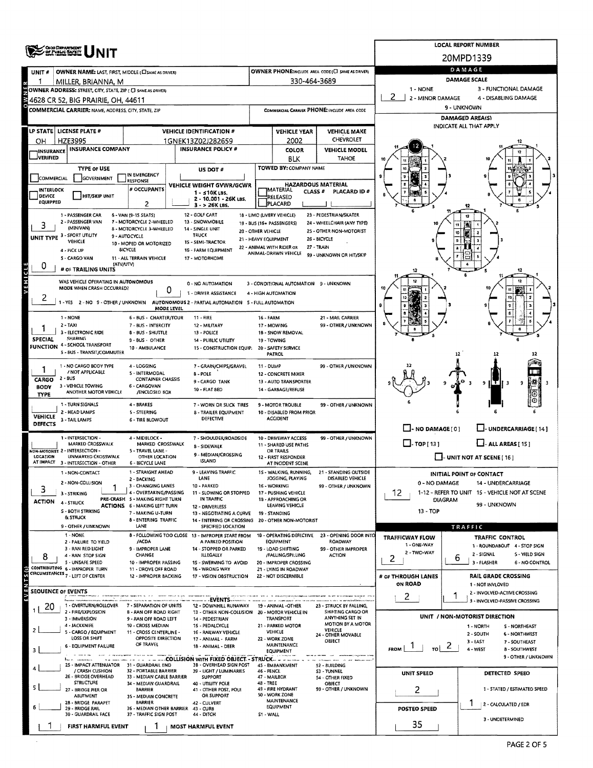|                                | OHO DEPARTMENT<br>OF PUBLIC SAFETY                                                 |                                                           | <b>LOCAL REPORT NUMBER</b>                                                                                        |                                                                                 |                                                                     |                                                   |                                         |                                                                    |  |  |  |  |  |
|--------------------------------|------------------------------------------------------------------------------------|-----------------------------------------------------------|-------------------------------------------------------------------------------------------------------------------|---------------------------------------------------------------------------------|---------------------------------------------------------------------|---------------------------------------------------|-----------------------------------------|--------------------------------------------------------------------|--|--|--|--|--|
|                                |                                                                                    |                                                           |                                                                                                                   |                                                                                 | 20MPD1339                                                           |                                                   |                                         |                                                                    |  |  |  |  |  |
| UNIT#                          | <b>OWNER NAME: LAST, FIRST, MIDDLE (CI SAME AS DRIVER)</b>                         |                                                           |                                                                                                                   |                                                                                 |                                                                     | OWNER PHONE:INCLUDE AREA CODE (C) SAME AS DRIVER) |                                         | DAMAGE<br><b>DAMAGE SCALE</b>                                      |  |  |  |  |  |
|                                | MILLER, BRIANNA, M<br>OWNER ADDRESS: STREET, CITY, STATE, ZIP ( C) SAME AS DRIVERY |                                                           |                                                                                                                   |                                                                                 | 330-464-3689                                                        |                                                   | 1 - NONE                                | 3 - FUNCTIONAL DAMAGE                                              |  |  |  |  |  |
|                                | 4628 CR 52, BIG PRAIRIE, OH, 44611                                                 |                                                           |                                                                                                                   |                                                                                 |                                                                     |                                                   | 2<br>$\blacksquare$<br>2 - MINOR DAMAGE | 4 - DISABLING DAMAGE                                               |  |  |  |  |  |
|                                | COMMERCIAL CARRIER: NAME, ADDRESS, CITY, STATE, ZIP                                |                                                           |                                                                                                                   |                                                                                 |                                                                     | COMMERCIAL CARAVER PHONE: INCLUDE AREA CODE       | 9 - UNKNOWN<br>DAMAGED AREA(S)          |                                                                    |  |  |  |  |  |
|                                |                                                                                    |                                                           |                                                                                                                   |                                                                                 |                                                                     |                                                   |                                         | INDICATE ALL THAT APPLY                                            |  |  |  |  |  |
| OН                             | LP STATE   LICENSE PLATE #<br><b>HZE3995</b>                                       |                                                           | <b>VEHICLE IDENTIFICATION #</b><br>1GNEK13Z02J282659                                                              |                                                                                 | <b>VEHICLE YEAR</b><br>2002                                         | <b>VEHICLE MAKE</b><br>CHEVROLET                  |                                         |                                                                    |  |  |  |  |  |
| <b>INSURANCE</b>               | <b>INSURANCE COMPANY</b>                                                           |                                                           | <b>INSURANCE POLICY #</b>                                                                                         |                                                                                 | <b>COLOR</b>                                                        | <b>VEHICLE MODEL</b>                              |                                         |                                                                    |  |  |  |  |  |
| <b>JVERIFIED</b>               |                                                                                    |                                                           |                                                                                                                   |                                                                                 | BLK<br>TOWED BY: COMPANY NAME                                       | <b>TAHOE</b>                                      |                                         |                                                                    |  |  |  |  |  |
| COMMERCIAL                     | <b>TYPE OF USE</b><br>GOVERNMENT                                                   | IN EMERGENCY                                              | US DOT #                                                                                                          |                                                                                 |                                                                     |                                                   |                                         |                                                                    |  |  |  |  |  |
| INTERLOCK                      |                                                                                    | <b>RESPONSE</b><br># OCCUPANTS                            | VEHICLE WEIGHT GVWR/GCWR<br>$1 - 510K$ LBS.                                                                       |                                                                                 | <b>HAZARDOUS MATERIAL</b><br><b>IMATERIAL</b><br>CLASS <sup>#</sup> | PLACARD ID #                                      |                                         |                                                                    |  |  |  |  |  |
| DEVICE<br><b>EQUIPPED</b>      | <b>HIT/SKIP UNIT</b>                                                               | 2                                                         | 2 - 10.001 - 26K LBS.<br>$3 - 26K$ LBS.                                                                           |                                                                                 | RELEASED<br>PLACARD                                                 |                                                   |                                         |                                                                    |  |  |  |  |  |
|                                | 1 - PASSENGER CAR                                                                  | 6 - VAN (9-15 SEATS)                                      | 12 - GOLF CART                                                                                                    |                                                                                 | 18 - LIMO (LIVERY VEHICLE)                                          | 23 - PEDESTRIAN/SKATER                            |                                         | 12<br>12                                                           |  |  |  |  |  |
| 3                              | 2 - PASSENGER VAN<br>(MINIVAN)                                                     | 7 - MOTORCYCLE 2-WHEELED<br>8 - MOTORCYCLE 3-WHEELED      | 13 - SNOWMOBILE<br>14 - SINGLE UNIT                                                                               |                                                                                 | 19 - BUS (16+ PASSENGERS)                                           | 24 - WHEELCHAIR (ANY TYPE)                        |                                         | 11                                                                 |  |  |  |  |  |
|                                | UNIT TYPE 3 - SPORT UTILITY<br>VEHICLE                                             | 9 - AUTOCYCLE                                             | <b>TRUCK</b><br>15 - SEMI-TRACTOR                                                                                 | 20 - OTHER VEHICLE<br>21 - HEAVY EQUIPMENT                                      |                                                                     | 25 - OTHER NON-MOTORIST<br>26 - BICYCLE           |                                         | 10                                                                 |  |  |  |  |  |
|                                | 4 - PICK UP                                                                        | 10 - MOPED OR MOTORIZED<br><b><i>BICYCLE</i></b>          | 16 - FARM EQUIPMENT                                                                                               |                                                                                 | 22 - ANIMAL WITH RIDER OR<br>ANIMAL-DRAWN VEHICLE                   | 27 - TRAIN<br>99 - UNKNOWN OR HIT/SKIP            |                                         |                                                                    |  |  |  |  |  |
| 0                              | S - CARGO VAN<br>(ATV/UTV)                                                         | 11 - ALL TERRAIN VEHICLE                                  | 17 - MOTORHOME                                                                                                    |                                                                                 |                                                                     |                                                   |                                         |                                                                    |  |  |  |  |  |
|                                | # OF TRAILING UNITS                                                                |                                                           |                                                                                                                   |                                                                                 |                                                                     |                                                   |                                         |                                                                    |  |  |  |  |  |
| VEHICLE                        | WAS VEHICLE OPERATING IN AUTONOMOUS<br>MODE WHEN CRASH OCCURRED?                   | 0                                                         | 0 - NO AUTOMATION                                                                                                 |                                                                                 | 3 - CONDITIONAL AUTOMATION 9 - UNKNOWN                              |                                                   |                                         |                                                                    |  |  |  |  |  |
| 2                              |                                                                                    |                                                           | 1 - DRIVER ASSISTANCE<br>1 - YES 2 - NO 9 - OTHER / UNKNOWN AUTONOMOUS 2 - PARTIAL AUTOMATION 5 - FULL AUTOMATION |                                                                                 | 4 - HIGH AUTOMATION                                                 |                                                   |                                         | t0                                                                 |  |  |  |  |  |
|                                |                                                                                    | MODE LEVEL                                                |                                                                                                                   |                                                                                 |                                                                     | 21 - MAIL CARRIER                                 |                                         |                                                                    |  |  |  |  |  |
|                                | 1 - NONE<br>$2 - TAXI$                                                             | 6 - BUS - CHARTER/TOUR<br>7 - BUS - INTERCITY             | $11 - FIRE$<br>12 - MILITARY                                                                                      | <b>16 - FARM</b>                                                                | 17 - MOWING                                                         | 99 - OTHER / UNKNOWN                              |                                         |                                                                    |  |  |  |  |  |
| <b>SPECIAL</b>                 | 3 - ELECTRONIC RIDE<br>SHARING                                                     | <b>8 - BUS - SHUTTLE</b><br>9 - 8US - OTHER               | 13 - POLICE<br>14 - PUBLIC UTILITY                                                                                |                                                                                 | 18 - SNOW REMOVAL<br>19 - TOWING                                    |                                                   |                                         |                                                                    |  |  |  |  |  |
|                                | <b>FUNCTION 4 - SCHOOL TRANSPORT</b><br>5 - 8US - TRANSIT/COMMUTER                 | 10 - AMBULANCE                                            | 15 - CONSTRUCTION EQUIP.                                                                                          |                                                                                 | 20 - SAFETY SERVICE                                                 |                                                   |                                         |                                                                    |  |  |  |  |  |
|                                | 1 - NO CARGO BODY TYPE                                                             |                                                           |                                                                                                                   |                                                                                 | PATROL                                                              |                                                   |                                         | 12                                                                 |  |  |  |  |  |
|                                | / NOT APPLICABLE                                                                   | 4 - LOGGING<br>5 - INTERMODAL                             | 7 - GRAIN/CHIPS/GRAVEL<br>8 - POLE                                                                                | 11 - DUMP                                                                       | 12 - CONCRETE MIXER                                                 | 99 - OTHER / UNKNOWN                              |                                         |                                                                    |  |  |  |  |  |
| CARGO<br><b>BODY</b>           | 2 - 8US<br>3 - VEHICLE TOWING                                                      | <b>CONTAINER CHASSIS</b><br>6 - CARGOVAN                  | 9 - CARGO TANK<br>10 - FLAT 8ED                                                                                   |                                                                                 | 13 - AUTO TRANSPORTER<br>14 - GARBAGE/REFUSE                        |                                                   |                                         | ₩<br>9<br>-3                                                       |  |  |  |  |  |
| <b>TYPE</b>                    | ANOTHER MOTOR VEHICLE                                                              | /ENCLOSED BOX                                             |                                                                                                                   |                                                                                 |                                                                     |                                                   |                                         |                                                                    |  |  |  |  |  |
|                                | 1 - TURN SIGNALS<br>2 - HEAD LAMPS                                                 | 4 - BRAKES<br>5 - STEERING                                | 7 - WORN OR SLICK TIRES<br>8 - TRAILER EQUIPMENT                                                                  |                                                                                 | <b>9 - MOTOR TROUBLE</b><br>10 - DISABLED FROM PRIOR                | 99 - OTHER / UNKNOWN                              |                                         |                                                                    |  |  |  |  |  |
| <b>VEHICLE</b><br>DEFECTS      | 3 - TAIL LAMPS                                                                     | <b>6 - TIRE BLOWOUT</b>                                   | DEFECTIVE                                                                                                         |                                                                                 | <b>ACCIDENT</b>                                                     |                                                   |                                         |                                                                    |  |  |  |  |  |
|                                | 1 - INTERSECTION -                                                                 | 4 - MIDBLOCK -                                            | 7 - SHOULDER/ROADSIDE                                                                                             |                                                                                 | 10 - DRIVEWAY ACCESS                                                | 99 - OTHER / UNKNOWN                              | $\Box$ - NO DAMAGE $[0]$                | U-UNDERCARRIAGE [14]                                               |  |  |  |  |  |
|                                | <b>MARKED CROSSWALK</b><br>NON-MOTORIST 2 - INTERSECTION -                         | MARKED CROSSWALK<br>5 - TRAVEL LANE -                     | 8 - SIDEWALK                                                                                                      |                                                                                 | 11 - SHARED USE PATHS<br>OR TRAILS                                  |                                                   | $\Box$ -TOP[13]                         | $\Box$ - ALL AREAS [ 15 ]                                          |  |  |  |  |  |
| LOCATION                       | UNMARKED CROSSWALK<br>AT IMPACT 3 - INTERSECTION - OTHER                           | OTHER LOCATION<br><b>6 - BICYCLE LANE</b>                 | 9 - MEDIAN/CROSSING<br><b>ISLAND</b>                                                                              |                                                                                 | 12 - FIRST RESPONDER<br>AT INCIDENT SCENE                           |                                                   |                                         | $\Box$ - UNIT NOT AT SCENE [ 16 ]                                  |  |  |  |  |  |
|                                | 1 - NON-CONTACT                                                                    | 1 - STRAIGHT AHEAD                                        | 9 - LEAVING TRAFFIC                                                                                               |                                                                                 | 1S - WALKING, RUNNING,                                              | 21 - STANDING OUTSIDE                             |                                         | <b>INITIAL POINT OF CONTACT</b>                                    |  |  |  |  |  |
| 3                              | 2 - NON-COLLISION                                                                  | 2 - BACKING<br>3 - CHANGING LANES                         | LANE<br>10 - PARKED                                                                                               |                                                                                 | JOGGING, PLAYING<br>16 - WORKING                                    | DISABLED VEHICLE<br>99 - OTHER / UNKNOWN          | 0 - NO DAMAGE                           | 14 - UNDERCARRIAGE                                                 |  |  |  |  |  |
| <b>ACTION</b>                  | 3 - STRIKING<br>4 - STRUCK                                                         | 4 - OVERTAKING/PASSING<br>PRE-CRASH 5 - MAKING RIGHT TURN | 11 - SLOWING OR STOPPED<br>IN TRAFFIC                                                                             | 17 - PUSHING VEHICLE<br>18 - APPROACHING OR<br>LEAVING VEHICLE<br>19 - STANDING |                                                                     |                                                   | 12                                      | 1-12 - REFER TO UNIT 15 - VEHICLE NOT AT SCENE<br>DIAGRAM          |  |  |  |  |  |
|                                | S - BOTH STRIKING                                                                  | ACTIONS 6 - MAKING LEFT TURN<br>7 - MAKING U-TURN         | 12 - DRIVERLESS<br>13 - NEGOTIATING A CURVE                                                                       |                                                                                 |                                                                     |                                                   | 13 - TOP                                | 99 - UNKNOWN                                                       |  |  |  |  |  |
|                                | <b>&amp; STRUCK</b><br>9 - OTHER / UNKNOWN                                         | 8 - ENTERING TRAFFIC<br>LANE                              | 14 - ENTERING OR CROSSING 20 - OTHER NON-MOTORIST<br>SPECIFIED LOCATION                                           |                                                                                 |                                                                     |                                                   |                                         | TRAFFIC                                                            |  |  |  |  |  |
|                                | 1 - NONE                                                                           |                                                           | 8 - FOLLOWING TOO CLOSE 13 - IMPROPER START FROM                                                                  |                                                                                 | 18 - OPERATING DEFECTIVE                                            | 23 OPENING DOOR INTO                              | <b>TRAFFICWAY FLOW</b>                  | TRAFFIC CONTROL                                                    |  |  |  |  |  |
|                                | 2 - FAILURE TO YIELD<br>3 - RAN RED LIGHT                                          | /ACDA<br>9 - IMPROPER LANE                                | A PARKED POSITION<br>14 - STOPPED OR PARKED                                                                       |                                                                                 | <b>EQUIPMENT</b><br>19 - LOAD SHIFTING                              | ROADWAY<br>99 - OTHER IMPROPER                    | 1 - ONE-WAY                             | 1 - ROUNDABOUT 4 - STOP SIGN                                       |  |  |  |  |  |
| 8                              | 4 - RAN STOP SIGN<br>5 - UNSAFE SPEED                                              | <b>CHANGE</b><br>10 - IMPROPER PASSING                    | <b>ILLEGALLY</b><br>15 - SWERVING TO AVOID                                                                        |                                                                                 | <b>/FALLING/SPILLING</b><br>20 - IMPROPER CROSSING                  | <b>ACTION</b>                                     | 2 - TWO-WAY<br>2                        | 2 - SIGNAL<br>5 - YIELD SIGN<br>6<br>3 - FLASHER<br>6 - NO CONTROL |  |  |  |  |  |
| $\frac{1}{2}$                  | CONTRIBUTING 6 - IMPROPER TURN<br>CIRCUMSTANCES 7 - LEFT OF CENTER                 | 11 - DROVE OFF ROAD<br>12 - IMPROPER BACKING              | 16 - WRONG WAY<br>17 - VISION OBSTRUCTION                                                                         |                                                                                 | 21 - LYING IN ROADWAY<br>22 - NOT DISCERNIBLE                       |                                                   | # OF THROUGH LANES                      | <b>RAIL GRADE CROSSING</b>                                         |  |  |  |  |  |
|                                |                                                                                    |                                                           |                                                                                                                   |                                                                                 |                                                                     |                                                   | <b>ON ROAD</b>                          | 1 - NOT INVLOVED                                                   |  |  |  |  |  |
| щ<br><b>SEQUENCE OF EVENTS</b> |                                                                                    |                                                           | ___EVENTS                                                                                                         |                                                                                 |                                                                     |                                                   | 2.                                      | 2 - INVOLVED-ACTIVE CROSSING<br>3 - INVOLVED-PASSIVE CROSSING      |  |  |  |  |  |
| 20                             | 1 - OVERTURN/ROLLOVER<br>2 - FIRE/EXPLOSION                                        | 7 - SEPARATION OF UNITS<br><b>B - RAN OFF ROAD RIGHT</b>  | 12 - DOWNHILL RUNAWAY<br>13 - OTHER NON-COLLISION                                                                 |                                                                                 | 19 - ANIMAL -OTHER<br>20 - MOTOR VEHICLE IN                         | 23 - STRUCK 8Y FALLING,<br>SHIFTING CARGO OR      |                                         |                                                                    |  |  |  |  |  |
|                                | 3 - IMMERSION<br>4 - JACKKNIFE                                                     | 9 - RAN OFF ROAD LEFT<br>10 - CROSS MEDIAN                | 14 - PEDESTRIAN<br>15 - PEDALCYCLE                                                                                |                                                                                 | TRANSPORT<br>21 - PARKED MOTOR                                      | ANYTHING SET IN<br>MOTION BY A MOTOR              |                                         | UNIT / NON-MOTORIST DIRECTION<br>1 - NORTH<br><b>S-NORTHEAST</b>   |  |  |  |  |  |
|                                | 5 - CARGO / EQUIPMENT<br>LOSS OR SHIFT                                             | 11 - CROSS CENTERLINE -<br>OPPOSITE DIRECTION             | 16 - RAILWAY VEHICLE                                                                                              |                                                                                 | VEHICLE                                                             | VEHICLE<br>24 - OTHER MOVABLE                     |                                         | 2 - SOUTH<br>6 - NORTHWEST                                         |  |  |  |  |  |
|                                | 6 - EQUIPMENT FAILURE                                                              | OF TRAVEL                                                 | 17 - ANIMAL - FARM<br>18 - ANIMAL - DEER                                                                          |                                                                                 | 22 - WORK ZONE<br><b>MAINTENANCE</b>                                | OBJECT                                            | FROM  <br>TO                            | $3 - EAST$<br>7 - SOUTHEAST<br>z<br>4 - WEST<br>8 - SOUTHWEST      |  |  |  |  |  |
|                                |                                                                                    |                                                           |                                                                                                                   |                                                                                 | EQUIPMENT                                                           |                                                   |                                         | 9 - OTHER / UNKNOWN                                                |  |  |  |  |  |
|                                | 25 - IMPACT ATTENUATOR<br>/ CRASH CUSHION                                          | 31 - GUARDRAIL END<br>32 - PORTABLE BARRIER               | 3B - OVERHEAD SIGN POST<br>39 - LIGHT / LUMINARIES                                                                | <b>46 - FENCE</b>                                                               | 45 - EMBANKMENT                                                     | 52 - BUILDING<br><b>S3 - TUNNEL</b>               | <b>UNIT SPEED</b>                       | DETECTED SPEED                                                     |  |  |  |  |  |
| 5.                             | 26 - BRIDGE OVERHEAD<br><b>STRUCTURE</b>                                           | 33 - MEDIAN CABLE BARRIER<br>34 - MEDIAN GUARDRAIL        | <b>SUPPORT</b><br>40 - UTILITY POLE                                                                               | <b>48 - TREE</b>                                                                | 47 - MAILBOX                                                        | 54 - OTHER FIXED<br>OBJECT                        |                                         |                                                                    |  |  |  |  |  |
|                                | 27 - BRIDGE PIER OR<br><b>ABUTMENT</b>                                             | <b>BARRIER</b><br>35 - MEDIAN CONCRETE                    | 41 - OTHER POST, POLE<br>OR SUPPORT                                                                               |                                                                                 | 49 - FIRE HYDRANT<br>50 - WORK ZONE                                 | 99 - OTHER / UNKNOWN                              | 2                                       | 1 - STATED / ESTIMATED SPEED                                       |  |  |  |  |  |
|                                | 28 - BRIDGE PARAPET<br>29 - BRIDGE RAIL                                            | <b>BARRIER</b><br>36 - MEDIAN OTHER BARRIER               | 42 - CULVERT<br>43 - CURB                                                                                         |                                                                                 | <b>MAINTENANCE</b><br>EQUIPMENT                                     |                                                   | <b>POSTED SPEED</b>                     | 1<br>2 - CALCULATED / EDR                                          |  |  |  |  |  |
|                                | 30 - GUARDRAIL FACE                                                                | 37 - TRAFFIC SIGN POST                                    | 44 - DITCH                                                                                                        | S1 - WALL                                                                       |                                                                     |                                                   |                                         | 3 - UNDETERMINED                                                   |  |  |  |  |  |
|                                | FIRST HARMFUL EVENT                                                                |                                                           | MOST HARMFUL EVENT                                                                                                |                                                                                 |                                                                     |                                                   | 35                                      |                                                                    |  |  |  |  |  |
|                                |                                                                                    |                                                           |                                                                                                                   |                                                                                 |                                                                     |                                                   |                                         | PAGE 2 OF 5                                                        |  |  |  |  |  |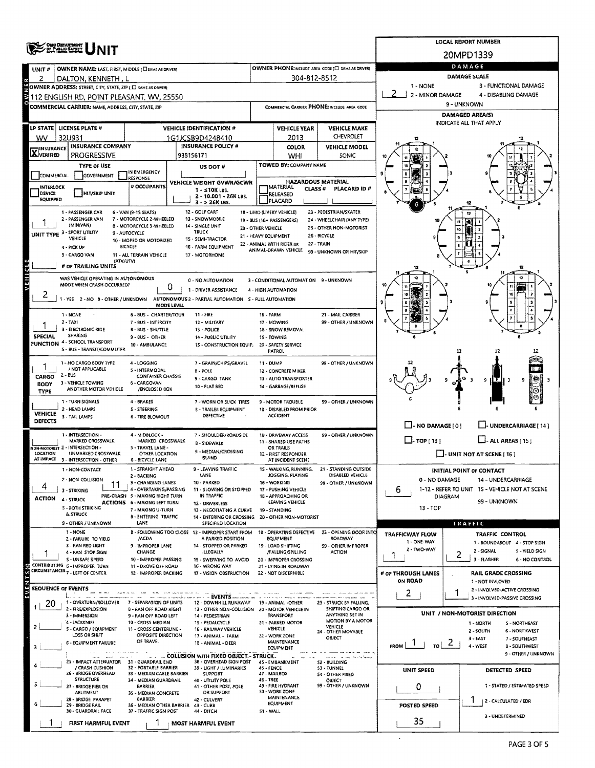|                                             |                                                             |                                                                        |                                                                         |                      |                                                         |                                                      |                                            | <b>LOCAL REPORT NUMBER</b>                                      |  |  |  |  |
|---------------------------------------------|-------------------------------------------------------------|------------------------------------------------------------------------|-------------------------------------------------------------------------|----------------------|---------------------------------------------------------|------------------------------------------------------|--------------------------------------------|-----------------------------------------------------------------|--|--|--|--|
|                                             | OISO DEPARTMENT                                             |                                                                        |                                                                         |                      |                                                         |                                                      |                                            | 20MPD1339                                                       |  |  |  |  |
| UNIT#                                       | <b>OWNER NAME: LAST, FIRST, MIDDLE (C) SAME AS DRIVER)</b>  |                                                                        |                                                                         |                      |                                                         | OWNER PHONE:INCLUDE AREA CODE (E) SAME AS DRIVERY    |                                            | DAMAGE                                                          |  |  |  |  |
| z                                           | DALTON, KENNETH , L                                         |                                                                        |                                                                         |                      | 304-812-8512                                            |                                                      |                                            | DAMAGE SCALE                                                    |  |  |  |  |
|                                             | OWNER ADDRESS: STREET, CITY, STATE, ZIP ( E SAME AS DRIVER) |                                                                        |                                                                         |                      |                                                         |                                                      | 3 - FUNCTIONAL DAMAGE<br>1 - NONE          |                                                                 |  |  |  |  |
|                                             | 112 ENGLISH RD, POINT PLEASANT, WV, 25550                   |                                                                        |                                                                         |                      |                                                         |                                                      | 2 - MINOR DAMAGE<br>4 - DISABLING DAMAGE   |                                                                 |  |  |  |  |
|                                             | COMMERCIAL CARRIER: NAME, ADDRESS, CITY, STATE, ZIP         |                                                                        |                                                                         |                      |                                                         | COMMERCIAL CARRIER PHONE: INCLUDE AREA CODE          | 9 - UNKNOWN                                |                                                                 |  |  |  |  |
|                                             |                                                             |                                                                        |                                                                         |                      |                                                         |                                                      | DAMAGED AREA(S)<br>INDICATE ALL THAT APPLY |                                                                 |  |  |  |  |
|                                             | LP STATE   LICENSE PLATE #                                  |                                                                        | <b>VEHICLE IDENTIFICATION #</b>                                         |                      | <b>VEHICLE YEAR</b>                                     | <b>VEHICLE MAKE</b>                                  |                                            |                                                                 |  |  |  |  |
| wv                                          | 32U931                                                      |                                                                        | 1G1JCSB9D4248410                                                        |                      | 2013                                                    | CHEVROLET                                            |                                            |                                                                 |  |  |  |  |
| <b>X</b> INSURANCE                          | <b>INSURANCE COMPANY</b><br><b>PROGRESSIVE</b>              |                                                                        | <b>INSURANCE POLICY #</b><br>938156171                                  |                      | <b>COLOR</b>                                            | <b>VEHICLE MODEL</b><br>SONIC                        |                                            |                                                                 |  |  |  |  |
|                                             | <b>TYPE OF USE</b>                                          |                                                                        |                                                                         |                      | WHI<br>TOWED BY: COMPANY NAME                           |                                                      |                                            |                                                                 |  |  |  |  |
| <b>COMMERCIAL</b>                           | GOVERNMENT                                                  | IN EMERGENCY                                                           | US DOT#                                                                 |                      |                                                         |                                                      |                                            |                                                                 |  |  |  |  |
| <b>INTERLOCK</b>                            |                                                             | RESPONSE<br># OCCUPANTS                                                | VEHICLE WEIGHT GVWR/GCWR                                                |                      | <b>HAZARDOUS MATERIAL</b><br>MATERIAL                   |                                                      |                                            |                                                                 |  |  |  |  |
| DEVICE                                      | HIT/SKIP UNIT                                               |                                                                        | $1 - 10K$ LBS.<br>2 - 10.001 - 26K LBS.                                 |                      | CLASS <sup>#</sup><br>RELEASED                          | PLACARD ID#                                          |                                            |                                                                 |  |  |  |  |
| <b>EQUIPPED</b>                             |                                                             |                                                                        | 3 - > 26K LBS.                                                          |                      | <b>PLACARD</b>                                          |                                                      |                                            |                                                                 |  |  |  |  |
|                                             | 1 - PASSENGER CAR<br>2 - PASSENGER VAN                      | 6 - VAN (9-1S SEATS)<br>7 - MOTORCYCLE 2-WHEELED                       | 12 - GOLF CART<br>13 - SNOWMOBILE                                       |                      | 18 - LIMO (LIVERY VEHICLE)<br>19 - BUS (16+ PASSENGERS) | 23 - PEDESTRIAN/SKATER<br>24 - WHEELCHAIR (ANY TYPE) |                                            |                                                                 |  |  |  |  |
|                                             | (MINIVAN)                                                   | <b>B - MOTORCYCLE 3-WHEELED</b>                                        | 14 - SINGLE UNIT                                                        | 20 - OTHER VEHICLE   |                                                         | 25 - OTHER NON-MOTORIST                              |                                            |                                                                 |  |  |  |  |
| UNIT TYPE <sup>3</sup>                      | - SPORT UTILITY<br>VEHICLE                                  | 9 - AUTOCYCLE<br>10 - MOPED OR MOTORIZED                               | <b>TRUCK</b><br>15 - SEMI-TRACTOR                                       | 21 - HEAVY EQUIPMENT |                                                         | 26 - BICYCLE                                         |                                            |                                                                 |  |  |  |  |
|                                             | 4 - PICK UP                                                 | <b>BICYCLE</b>                                                         | 16 - FARM EQUIPMENT                                                     |                      | 22 - ANIMAL WITH RIDER OR<br>ANIMAL-DRAWN VEHICLE       | <b>27 - TRAIN</b>                                    |                                            |                                                                 |  |  |  |  |
|                                             | 5 - CARGO VAN<br>(ATVAUTV)                                  | 11 - ALL TERRAIN VEHICLE                                               | 17 - MOTORHOME                                                          |                      |                                                         | 99 - UNKNOWN OR HIT/SKIP                             |                                            |                                                                 |  |  |  |  |
|                                             | # OF TRAILING UNITS                                         |                                                                        |                                                                         |                      |                                                         |                                                      |                                            |                                                                 |  |  |  |  |
| <b>VEHICLE</b>                              | WAS VEHICLE OPERATING IN AUTONOMOUS                         |                                                                        | 0 - NO AUTOMATION                                                       |                      | 3 - CONDITIONAL AUTOMATION 9 - UNKNOWN                  |                                                      |                                            |                                                                 |  |  |  |  |
|                                             | MODE WHEN CRASH OCCURRED?                                   | 0                                                                      | 1 - DRIVER ASSISTANCE                                                   |                      | 4 - HIGH AUTOMATION                                     |                                                      |                                            |                                                                 |  |  |  |  |
| ۷                                           | 1 - YES 2 - NO 9 - OTHER / UNKNOWN                          |                                                                        | AUTONOMOUS 2 - PARTIAL AUTOMATION S - FULL AUTOMATION                   |                      |                                                         |                                                      |                                            |                                                                 |  |  |  |  |
|                                             | $1 - NONE$                                                  | <b>MODE LEVEL</b><br><b>6-BUS CHARTER/TOUR</b>                         | 11 - FIRE                                                               | 16 FARM              |                                                         | 21 - MAIL CARRIER                                    |                                            |                                                                 |  |  |  |  |
|                                             | $2 - TAXI$                                                  | 7 - BUS - INTERCITY                                                    | 12 - MILITARY                                                           |                      | 17 - MOWING                                             | 99 - OTHER / UNKNOWN                                 |                                            |                                                                 |  |  |  |  |
|                                             | 3 - ELECTRONIC RIDE<br>SHARING                              | B - BUS - SHUTTLE                                                      | 13 - POLICE                                                             |                      | 18 - SNOW REMOVAL                                       |                                                      |                                            |                                                                 |  |  |  |  |
| <b>SPECIAL</b>                              | FUNCTION 4 - SCHOOL TRANSPORT                               | 9 - BUS - OTHER<br>10 - AMBULANCE                                      | 14 - PUBLIC UTILITY<br>15 - CONSTRUCTION EQUIP.                         |                      | 19 - TOWING<br>20 - SAFETY SERVICE                      |                                                      |                                            |                                                                 |  |  |  |  |
|                                             | S - BUS - TRANSIT/COMMUTER                                  |                                                                        |                                                                         |                      | PATROL                                                  |                                                      |                                            | 12                                                              |  |  |  |  |
|                                             | 1 - NO CARGO BODY TYPE                                      | 4 - LOGGING                                                            | 7 - GRAIN/CHIPS/GRAVEL                                                  | 11 - DUMP            |                                                         | 99 - OTHER / UNKNOWN                                 |                                            |                                                                 |  |  |  |  |
| CARGO                                       | / NOT APPLICABLE<br>$2 - BUS$                               | 5 - INTERMODAL<br><b>CONTAINER CHASSIS</b>                             | B - POLE                                                                |                      | 12 - CONCRETE MIXER                                     |                                                      |                                            |                                                                 |  |  |  |  |
| <b>BODY</b>                                 | 3 - VEHICLE TOWING                                          | 6 - CARGOVAN                                                           | 9 - CARGO TANK<br>10 - FLAT BED                                         |                      | 13 - AUTO TRANSPORTER<br>14 - GARBAGE/REFUSE            |                                                      |                                            | 1IT I<br>9                                                      |  |  |  |  |
| <b>TYPE</b>                                 | ANOTHER MOTOR VEHICLE                                       | /ENCLOSED BOX                                                          |                                                                         |                      |                                                         |                                                      |                                            |                                                                 |  |  |  |  |
|                                             | 1 - TURN SIGNALS<br>2 - HEAD LAMPS                          | 4 BRAKES<br>S - STEERING                                               | 7 - WORN OR SLICK TIRES<br><b>B - TRAILER EQUIPMENT</b>                 |                      | 9 - MOTOR TROUBLE<br>10 - DISABLED FROM PRIOR           | 99 - OTHER / UNKNOWN                                 |                                            |                                                                 |  |  |  |  |
| <b>VEHICLE</b>                              | 3 - TAIL LAMPS                                              | <b>6 - TIRE BLOWOUT</b>                                                | DEFECTIVE                                                               |                      | <b>ACCIDENT</b>                                         |                                                      |                                            |                                                                 |  |  |  |  |
| <b>DEFECTS</b>                              |                                                             |                                                                        |                                                                         |                      |                                                         |                                                      | $\Box$ - NO DAMAGE $[0]$                   | LUNDERCARRIAGE [ 14 ]                                           |  |  |  |  |
|                                             | 1 - INTERSECTION -<br><b>MARKED CROSSWALK</b>               | 4 - MIDBLOCK -<br>MARKED CROSSWALK                                     | 7 - SHOULDER/ROADSIDE                                                   |                      | 10 - DRIVEWAY ACCESS<br>11 - SHARED USE PATHS           | 99 - OTHER / UNKNOWN                                 | $\Box$ - TOP [ 13 ]                        | $LJ$ - ALL AREAS [15]                                           |  |  |  |  |
|                                             | VON-MOTORIST 2 - INTERSECTION -                             | 5 - TRAVEL LANE -                                                      | <b>B - SIDEWALK</b><br>9 - MEDIAN/CROSSING                              |                      | OR TRAILS                                               |                                                      |                                            |                                                                 |  |  |  |  |
| LOCATION                                    | UNMARKED CROSSWALK<br>AT IMPACT 3 - INTERSECTION - OTHER    | <b>OTHER LOCATION</b><br>6 - BICYCLE LANE                              | <b>ISLAND</b>                                                           |                      | 12 - FIRST RESPONDER<br>AT INCIDENT SCENE               |                                                      |                                            | $\Box$ - UNIT NOT AT SCENE [ 16 ]                               |  |  |  |  |
|                                             | - NON-CONTACT                                               | 1 - STRAIGHT AHEAD                                                     | 9 - LEAVING TRAFFIC                                                     |                      |                                                         | 1S - WALKING, RUNNING. 21 - STANDING OUTSIDE         |                                            | INITIAL POINT OF CONTACT                                        |  |  |  |  |
|                                             | 2 - NON-COLLISION                                           | 2 - BACKING<br>3 - CHANGING LANES                                      | LANE<br>10 - PARKED                                                     |                      | JOGGING, PLAYING<br>16 - WORKING                        | DISABLED VEHICLE<br>99 - OTHER / UNKNOWN             | 0 - NO DAMAGE                              | 14 - UNDERCARRIAGE                                              |  |  |  |  |
| 4                                           | 3 - STRIKING                                                | 4 - OVERTAKING/PASSING                                                 | 11 - SLOWING OR STOPPED                                                 |                      | 17 - PUSHING VEHICLE                                    |                                                      | 6                                          | 1-12 - REFER TO UNIT 15 - VEHICLE NOT AT SCENE                  |  |  |  |  |
| <b>ACTION</b>                               | 4 - STRUCK                                                  | PRE-CRASH 5 - MAKING RIGHT TURN<br><b>ACTIONS 6 - MAKING LEFT TURN</b> | IN TRAFFIC<br>12 - DRIVERLESS                                           |                      | 18 - APPROACHING OR<br>LEAVING VEHICLE                  |                                                      |                                            | <b>DIAGRAM</b><br>99 - UNKNOWN                                  |  |  |  |  |
|                                             | <b>S - BOTH STRIKING</b><br>& STRUCK                        | 7 - MAKING U-TURN                                                      | 13 - NEGOTIATING A CURVE                                                |                      | 19 - STANDING                                           |                                                      | $13 - TOP$                                 |                                                                 |  |  |  |  |
|                                             | 9 - OTHER / UNKNOWN                                         | <b>B - ENTERING TRAFFIC</b><br>LANE                                    | 14 - ENTERING OR CROSSING 20 - OTHER NON-MOTORIST<br>SPECIFIED LOCATION |                      |                                                         |                                                      |                                            | <b>TRAFFIC</b>                                                  |  |  |  |  |
|                                             | 1 - NONE                                                    |                                                                        | B - FOLLOWING TOO CLOSE 13 - IMPROPER START FROM                        |                      | 18 - OPERATING DEFECTIVE                                | 23 - OPENING DOOR INTO                               | <b>TRAFFICWAY FLOW</b>                     | <b>TRAFFIC CONTROL</b>                                          |  |  |  |  |
|                                             | 2 - FAILURE TO YIELD<br>3 - RAN RED LIGHT                   | /ACDA<br>9 - IMPROPER LANE                                             | A PARKED POSITION<br>14 - STOPPED OR PARKED                             |                      | <b>EQUIPMENT</b><br>19 - LOAD SHIFTING                  | ROADWAY<br>99 - OTHER IMPROPER                       | 1 - ONE-WAY                                | 1 - ROUNDABOUT 4 - STOP SIGN                                    |  |  |  |  |
|                                             | 4 - RAN STOP SIGN                                           | <b>CHANGE</b>                                                          | <b>ILLEGALLY</b>                                                        |                      | /FALUNG/SPILLING                                        | <b>ACTION</b>                                        | 2 - TWO-WAY                                | 2 - SIGNAL<br><b>S - YIELD SIGN</b><br>2                        |  |  |  |  |
|                                             | S - UNSAFE SPEED<br>CONTRIBUTING 6 - IMPROPER TURN          | 10 - IMPROPER PASSING<br>11 - DROVE OFF ROAD                           | 15 - SWERVING TO AVOID<br>16 - WRONG WAY                                |                      | 20 - IMPROPER CROSSING<br>21 - LYING IN ROADWAY         |                                                      |                                            | 3 - FLASHER<br>6 - NO CONTROL                                   |  |  |  |  |
|                                             | CIRCUMSTANCES 7 - LEFT OF CENTER                            | 12 - IMPROPER BACKING                                                  | 17 - VISION OBSTRUCTION                                                 |                      | 22 - NOT DISCERNIBLE                                    |                                                      | # OF THROUGH LANES                         | <b>RAIL GRADE CROSSING</b>                                      |  |  |  |  |
| EVENTS <sub>(S)</sub><br>SEOUENCE OF EVENTS |                                                             |                                                                        |                                                                         |                      |                                                         |                                                      | ON ROAD                                    | 1 - NOT INVLOVED<br>2 - INVOLVED-ACTIVE CROSSING                |  |  |  |  |
|                                             |                                                             |                                                                        | <b>EVENTS</b>                                                           |                      |                                                         |                                                      | 2 <sub>1</sub>                             | 3 - INVOLVED-PASSIVE CROSSING                                   |  |  |  |  |
| 20                                          | 1 - OVERTURN/ROLLOVER<br>2 - FIRE/EXPLOSION                 | 7 - SEPARATION OF UNITS<br><b>B - RAN OFF ROAD RIGHT</b>               | 12 - DOWNHILL RUNAWAY<br>13 - OTHER NON-COLLISION 20 - MOTOR VEHICLE IN |                      | 19 - ANIMAL -OTHER                                      | 23 - STRUCK BY FALLING,<br>SHIFTING CARGO OR         |                                            |                                                                 |  |  |  |  |
|                                             | 3 - IMMERSION                                               | 9 - RAN OFF ROAD LEFT                                                  | 14 - PEDESTRIAN                                                         |                      | <b>TRANSPORT</b>                                        | ANYTHING SET IN<br>MOTION BY A MOTOR                 |                                            | UNIT / NON-MOTORIST DIRECTION                                   |  |  |  |  |
|                                             | 4 - JACKKNIFE<br>S - CARGO / EQUIPMENT                      | 10 - CROSS MEDIAN<br>11 - CROSS CENTERLINE -                           | 15 - PEDALCYCLE<br>16 - RAILWAY VEHICLE                                 |                      | 21 - PARKED MOTOR<br>VEHICLE                            | VEHICLE<br>24 - OTHER MOVABLE                        |                                            | 1 - NORTH<br><b>5 - NORTHEAST</b><br>2 - SOUTH<br>6 - NORTHWEST |  |  |  |  |
|                                             | LOSS OR SHIFT<br>6 - EQUIPMENT FAILURE                      | OPPOSITE DIRECTION<br>OF TRAVEL                                        | 17 - ANIMAL - FARM<br>18 - ANIMAL - DEER                                |                      | 22 - WORK ZONE<br><b>MAINTENANCE</b>                    | OBJECT                                               |                                            | $3 -$ EAST<br>7 - SOUTHEAST                                     |  |  |  |  |
|                                             |                                                             |                                                                        |                                                                         |                      | EQUIPMENT                                               |                                                      | FROM                                       | $ 70 $ 2  <br>4 - WEST<br><b>B-SOUTHWEST</b>                    |  |  |  |  |
|                                             | 25 - IMPACT ATTENUATOR 31 - GUARDRAIL END                   |                                                                        | . COLLISION WITH FIXED OBJECT. - STRUCK<br>38 - OVERHEAD SIGN POST      |                      | 45 - EMBANKMENT                                         | <b>S2 - BUILDING</b>                                 |                                            | 9 - OTHER / UNKNOWN                                             |  |  |  |  |
|                                             | / CRASH CUSHION<br>26 - BRIDGE OVERHEAD                     | 32 - PORTABLE BARRIER<br>33 - MEDIAN CABLE BARRIER                     | 39 - LIGHT / LUMINARIES<br><b>SUPPORT</b>                               | 46 - FENCE           | 47 - MAILBOX                                            | 53 - TUNNEL<br><b>54 - OTHER FIXED</b>               | UNIT SPEED                                 | DETECTED SPEED                                                  |  |  |  |  |
|                                             | <b>STRUCTURE</b>                                            | 34 - MEDIAN GUARDRAIL                                                  | 40 - UTILITY POLE                                                       | 48 - TREE            |                                                         | OBJECT                                               |                                            |                                                                 |  |  |  |  |
|                                             | 27 - BRIDGE PIER OR<br><b>ABUTMENT</b>                      | <b>BARRIER</b><br>35 - MEDIAN CONCRETE                                 | 41 - OTHER POST, POLE<br>OR SUPPORT                                     |                      | 49 - FIRE HYDRANT<br>50 - WORK ZONE                     | 99 - OTHER / UNKNOWN                                 | 0                                          | 1 - STATED / ESTIMATED SPEED                                    |  |  |  |  |
|                                             | 28 - BRIDGE PARAPET<br>29 - 8RIDGE RAIL                     | BARRIER<br>36 - MEDIAN OTHER BARRIER 43 - CURB                         | 42 - CULVERT                                                            |                      | MAINTENANCE<br>EQUIPMENT                                |                                                      | POSTED SPEED                               | 2 - CALCULATED / EDR                                            |  |  |  |  |
|                                             | 30 - GUARDRAIL FACE                                         | 37 - TRAFFIC SIGN POST                                                 | 44 - DITCH                                                              | 51 - WALL            |                                                         |                                                      |                                            | 3 - UNDETERMINED                                                |  |  |  |  |
|                                             | FIRST HARMFUL EVENT                                         |                                                                        | <b>MOST HARMFUL EVENT</b>                                               |                      |                                                         |                                                      | 35                                         |                                                                 |  |  |  |  |

 $\bar{\mathcal{L}}$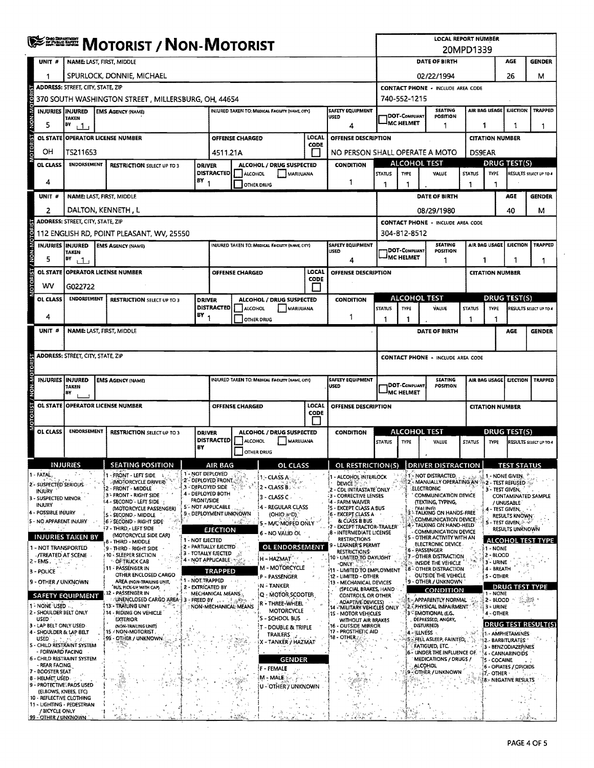|              |                                                  | ≸ <sup>≌সমাজ</sup> Motorist <i>/</i> Non-Motorist |                                                                                                          |                   |                                                         |                        |                                                        |                      |                                                                                        |                                                                      |                                               | <b>LOCAL REPORT NUMBER</b>                                                           | 20MPD1339                                           |                         |                                                       |                               |  |
|--------------|--------------------------------------------------|---------------------------------------------------|----------------------------------------------------------------------------------------------------------|-------------------|---------------------------------------------------------|------------------------|--------------------------------------------------------|----------------------|----------------------------------------------------------------------------------------|----------------------------------------------------------------------|-----------------------------------------------|--------------------------------------------------------------------------------------|-----------------------------------------------------|-------------------------|-------------------------------------------------------|-------------------------------|--|
|              | UNIT #                                           |                                                   | <b>NAME: LAST, FIRST, MIDDLE</b>                                                                         |                   |                                                         |                        |                                                        |                      |                                                                                        |                                                                      |                                               | <b>DATE OF BIRTH</b>                                                                 |                                                     |                         | <b>AGE</b>                                            | <b>GENDER</b>                 |  |
|              | 1                                                |                                                   | SPURLOCK, DONNIE, MICHAEL                                                                                |                   |                                                         |                        |                                                        |                      |                                                                                        |                                                                      |                                               | 02/22/1994                                                                           |                                                     |                         | 26                                                    | м                             |  |
|              |                                                  | <b>ADDRESS: STREET, CITY, STATE, ZIP</b>          |                                                                                                          |                   |                                                         |                        |                                                        |                      |                                                                                        | <b>CONTACT PHONE - INCLUDE AREA CODE</b>                             |                                               |                                                                                      |                                                     |                         |                                                       |                               |  |
| oro          |                                                  |                                                   | 370 SOUTH WASHINGTON STREET, MILLERSBURG, OH, 44654                                                      |                   |                                                         |                        |                                                        |                      |                                                                                        |                                                                      | 740-552-1215                                  |                                                                                      |                                                     |                         |                                                       |                               |  |
|              | INJURIES INJURED                                 | TAKEN                                             | <b>EMS AGENCY (NAME)</b>                                                                                 |                   |                                                         |                        | INJURED TAKEN TO: MEDICAL FACILITY (NAME, CITY)        |                      | SAFETY EQUIPMENT<br><b>USED</b>                                                        |                                                                      | DOT-COMPLIANT                                 | <b>SEATING</b><br>POSITION                                                           |                                                     | AIR BAG USAGE           | <b>EJECTION</b>                                       | <b>TRAPPED</b>                |  |
|              | 5                                                | BY<br>111                                         |                                                                                                          |                   |                                                         |                        |                                                        |                      | 4                                                                                      |                                                                      | <b>MC HELMET</b>                              | 1                                                                                    |                                                     | 1                       | 1                                                     | -1                            |  |
| <b>DRIST</b> |                                                  |                                                   | <b>OL STATE OPERATOR LICENSE NUMBER</b>                                                                  |                   |                                                         | OFFENSE CHARGED        |                                                        | LOCAL<br>CODE        | OFFENSE DESCRIPTION                                                                    |                                                                      |                                               |                                                                                      |                                                     | <b>CITATION NUMBER</b>  |                                                       |                               |  |
|              | OH                                               | TS211653                                          |                                                                                                          |                   |                                                         | 4511.21A               |                                                        |                      | NO PERSON SHALL OPERATE A MOTO                                                         |                                                                      |                                               |                                                                                      |                                                     | <b>DS9EAR</b>           |                                                       |                               |  |
|              | OL CLASS                                         | <b>ENDORSEMENT</b>                                | <b>RESTRICTION SELECT UP TO 3</b>                                                                        | <b>DRIVER</b>     | <b>DISTRACTED</b>                                       | <b>ALCOHOL</b>         | ALCOHOL / DRUG SUSPECTED<br>MARIJUANA                  |                      | <b>CONDITION</b>                                                                       | <b>STATUS</b>                                                        | <b>TYPE</b>                                   | <b>ALCOHOL TEST</b><br>VALUE                                                         | <b>DRUG TEST(S)</b><br><b>STATUS</b><br><b>TYPE</b> |                         |                                                       | RESULTS SELECT UP TO 4        |  |
|              | 4                                                |                                                   |                                                                                                          | BY 4              |                                                         | OTHER DRUG             |                                                        |                      | 1                                                                                      | 1                                                                    | 1                                             |                                                                                      | -1                                                  | ٦                       |                                                       |                               |  |
|              | unit #                                           |                                                   | <b>NAME: LAST, FIRST, MIDDLE</b>                                                                         |                   |                                                         |                        |                                                        |                      |                                                                                        |                                                                      |                                               | <b>DATE OF BIRTH</b>                                                                 |                                                     |                         | AGE                                                   | <b>GENDER</b>                 |  |
|              | 2                                                |                                                   | DALTON, KENNETH, L                                                                                       |                   |                                                         |                        |                                                        |                      |                                                                                        |                                                                      |                                               | 08/29/1980                                                                           |                                                     |                         | 40                                                    | м                             |  |
|              |                                                  | <b>ADDRESS: STREET, CITY, STATE, ZIP</b>          |                                                                                                          |                   |                                                         |                        |                                                        |                      |                                                                                        |                                                                      |                                               | <b>CONTACT PHONE - INCLUDE AREA CODE</b>                                             |                                                     |                         |                                                       |                               |  |
|              |                                                  |                                                   | 112 ENGLISH RD, POINT PLEASANT, WV, 25550                                                                |                   |                                                         |                        |                                                        |                      |                                                                                        |                                                                      | 304-812-8512                                  | <b>SEATING</b>                                                                       |                                                     |                         |                                                       | TRAPPED                       |  |
| NON-         | <b>INJURIES INJURED</b><br>5                     | <b>TAKEN</b><br>BY<br>i 1 i                       | <b>EMS AGENCY (NAME)</b>                                                                                 |                   |                                                         |                        | INJURED TAKEN TO: MEDICAL FACIUTY (NAME CITY)          |                      | SAFETY EQUIPMENT<br><b>USED</b><br>4                                                   |                                                                      | DOT-COMPUANT<br><b>MC HELMET</b>              | POSITION<br>1                                                                        |                                                     | AIR BAG USAGE<br>1      | <b>EJECTION</b>                                       | 1                             |  |
|              | <b>OL STATE</b>                                  |                                                   | <b>OPERATOR LICENSE NUMBER</b>                                                                           |                   |                                                         | <b>OFFENSE CHARGED</b> |                                                        | LOCAL<br><b>CODE</b> | OFFENSE DESCRIPTION                                                                    |                                                                      |                                               |                                                                                      |                                                     | <b>CITATION NUMBER</b>  |                                                       |                               |  |
|              | wv                                               | G022722                                           |                                                                                                          |                   |                                                         |                        |                                                        |                      |                                                                                        |                                                                      |                                               |                                                                                      |                                                     |                         |                                                       |                               |  |
|              | OL CLASS                                         | <b>ENDORSEMENT</b>                                | <b>RESTRICTION SELECT UP TO 3</b>                                                                        | <b>DRIVER</b>     | <b>DISTRACTED</b>                                       | ALCOHOL                | ALCOHOL / DRUG SUSPECTED<br>MARIJUANA                  |                      | <b>CONDITION</b>                                                                       | <b>STATUS</b>                                                        | <b>TYPE</b>                                   | ALCOHOL TEST<br>VALUE                                                                | <b>STATUS</b>                                       | <b>TYPE</b>             | <b>DRUG TEST(S)</b>                                   | RESULTS SELECT UP TO 4        |  |
|              | 4                                                |                                                   |                                                                                                          | $BY_1$            |                                                         | OTHER DRUG             |                                                        |                      | -1                                                                                     | 1                                                                    | 1                                             |                                                                                      | -1                                                  | 1                       |                                                       |                               |  |
|              | UNIT <sup>#</sup>                                |                                                   | <b>NAME: LAST, FIRST, MIDDLE</b>                                                                         |                   |                                                         |                        |                                                        |                      |                                                                                        |                                                                      |                                               | DATE OF BIRTH                                                                        |                                                     |                         | AGE                                                   | <b>GENDER</b>                 |  |
|              |                                                  | <b>ADDRESS: STREET, CITY, STATE, ZIP</b>          |                                                                                                          |                   |                                                         |                        |                                                        |                      |                                                                                        |                                                                      |                                               | <b>CONTACT PHONE - INCLUDE AREA CODE</b>                                             |                                                     |                         |                                                       |                               |  |
|              |                                                  |                                                   |                                                                                                          |                   |                                                         |                        |                                                        |                      |                                                                                        |                                                                      |                                               |                                                                                      |                                                     |                         |                                                       |                               |  |
| W-N-N        | INJURIES INJURED                                 | <b>TAKEN</b><br>BΥ                                | <b>EMS AGENCY (NAME)</b>                                                                                 |                   |                                                         |                        | INJURED TAKEN TO: MEDICAL FACILITY (NAME, CITY)        |                      | <b>SAFETY EQUIPMENT</b><br><b>USED</b>                                                 | <b>SEATING</b><br>DOT-COMPUANT<br>POSITION<br><sup>I</sup> MC HELMET |                                               |                                                                                      |                                                     | AIR BAG USAGE           | <b>EJECTION</b>                                       | <b>TRAPPED</b>                |  |
|              | <b>OL STATE</b>                                  |                                                   | <b>OPERATOR LICENSE NUMBER</b>                                                                           |                   | LOCAL<br>OFFENSE CHARGED<br>OFFENSE DESCRIPTION<br>CODE |                        |                                                        |                      |                                                                                        | <b>CITATION NUMBER</b>                                               |                                               |                                                                                      |                                                     |                         |                                                       |                               |  |
|              | OL CLASS                                         | <b>ENDORSEMENT</b>                                | <b>RESTRICTION SELECT UP TO 3</b>                                                                        | <b>DRIVER</b>     |                                                         |                        | ALCOHOL / DRUG SUSPECTED                               |                      | <b>CONDITION</b>                                                                       |                                                                      |                                               | ALCOHOL TEST                                                                         |                                                     | <b>DRUG TEST(S)</b>     |                                                       |                               |  |
|              |                                                  |                                                   |                                                                                                          | BY                | <b>DISTRACTED</b>                                       | <b>ALCOHOL</b>         | MARIJUANA                                              |                      |                                                                                        | <b>STATUS</b>                                                        | <b>TYPE</b>                                   | VALUE                                                                                | <b>STATUS</b>                                       | <b>TYPE</b>             |                                                       | <b>RESULTS SELECT UP TO 4</b> |  |
|              |                                                  |                                                   |                                                                                                          |                   |                                                         | OTHER DRUG             |                                                        |                      |                                                                                        |                                                                      |                                               |                                                                                      |                                                     |                         |                                                       |                               |  |
|              | - FATAL                                          | <b>INJURIES</b><br>л.                             | <b>SEATING POSITION</b><br>1 - FRONT - LEFT SIDE                                                         | 1 - NOT DEPLOYED  | AIR BAG                                                 |                        | OL CLASS                                               |                      | OL RESTRICTIONIS) DRIVER DISTRACTION                                                   |                                                                      |                                               | 1- NOT DISTRACTED.                                                                   |                                                     |                         | <b>TEST STATUS</b><br>1 - NONE GIVEN.                 |                               |  |
|              | 2 - SUSPECTED SERIOUS                            |                                                   | (MOTORCYCLE DRIVER)<br>2 - FRONT - MIDDLE                                                                | 3 - DEPLOYED SIDE | 2 - DEPLOYED FRONT                                      |                        | i 1 - CLASS A<br>$2 - CLASSB$                          |                      | - ALCOHOL INTERLOCK<br><b>DEVICE</b><br>- CDL INTRASTATE ONLY                          |                                                                      |                                               | 2 - MANUALLY OPERATING AN<br><b>ELECTRONIC</b>                                       |                                                     | 3 - TEST GIVEN,         | 2 - TEST REFUSED                                      |                               |  |
|              | INJURY<br>3 - SUSPECTED MINOR                    |                                                   | 3 - FRONT - RIGHT SIDE<br>4 ~ SECOND - LEFT SIDE                                                         | <b>FRONT/SIDE</b> | 4 - DEPLOYED BOTH                                       |                        | $3 - CLASS C$                                          |                      | 3 - CORRECTIVE LENSES<br>- FARM WAIVER                                                 |                                                                      |                                               | <b>COMMUNICATION DEVICE</b><br>(TEXTING, TYPING,                                     |                                                     |                         | / UNUSABLE-                                           | CONTAMINATED SAMPLE           |  |
|              | INJURY<br>4 - POSSIBLE INJURY                    |                                                   | (MOTORCYCLE PASSENGER)<br>5 - SECOND - MIDDLE                                                            |                   | 5 - NOT APPLICABLE<br>9 - DEPLOYMENT UNKNOWN            |                        | i 4 - REGULAR CLASS<br>(OHIO = D)                      |                      | 5 - EXCEPT CLASS A BUS<br>6 - EXCEPT CLASS A                                           |                                                                      |                                               | DIALING)<br><b>ATALKING ON HANDS-FREE</b>                                            |                                                     |                         | 4 - TEST GIVEN, PR<br><b>RESULTS KNOWN:</b>           |                               |  |
|              | 5 - NO APPARENT INJURY                           |                                                   | 6 - SECOND - RIGHT SIDE<br>17 - THIRD, LEFT SIDE                                                         |                   | <b>EJECTION</b>                                         |                        | 5 - M/C MOPED ONLY                                     |                      | <b>BLCLASS B BUS</b><br>EXCEPT TRACTOR-TRAILER                                         |                                                                      |                                               | COMMUNICATION DEVICE<br>4 - TALKING ON HAND-HELD                                     |                                                     |                         | <b>5 - TEST GIVEN, Andr</b><br><b>RESULTS UNKNOWN</b> |                               |  |
|              |                                                  | <b>INJURIES TAKEN BY</b>                          | (MOTORCYCLE SIDE CAR)<br>8 - THIRD - MIDDLE                                                              | 1 - NOT EJECTED   |                                                         |                        | 6 - NO VALID OL                                        |                      | 8 - INTERMEDIATE LICENSE<br><b>RESTRICTIONS</b><br>- LEARNER'S PERMIT                  |                                                                      |                                               | <b>COMMUNICATION DEVICE</b><br>5 - OTHER ACTIVITY WITH AN<br>ELECTRONIC DEVICE       |                                                     |                         |                                                       | <b>ALCOHOL TEST TYPE</b>      |  |
|              | - NOT TRANSPORTED<br><b>TREATED AT SCENE</b>     |                                                   | 9 - THIRD - RIGHT SIDE<br>10 - SLEEPER SECTION                                                           |                   | 2 - PARTIALLY EJECTED<br>3 - TOTALLY EJECTED            |                        | OL ENDORSEMENT<br>H-HAZMAT                             |                      | <b>RESTRICTIONS</b><br>10 - UMITED TO DAYUGHT                                          |                                                                      |                                               | 6 - PASSENGER<br>7 - OTHER DISTRACTION                                               |                                                     | 1 - NONE<br>2 - BLOOD   |                                                       |                               |  |
|              | 2 - EMS.<br>3 - POLICE                           | أفاودو                                            | OF TRUCK CAB<br>11 - PASSENGER IN                                                                        |                   | 4 - NOT APPLICABLE<br><b>TRAPPED</b>                    |                        | M - MOTORCYCLE                                         |                      | $\cdot$ ONLY $^{\sim}$<br>11 - LIMITED TO EMPLOYMENT                                   |                                                                      |                                               | to INSIDE THE VEHICLE<br><b>8 - OTHER DISTRACTION</b>                                |                                                     | 3 - URINE<br>4 - BREATH |                                                       |                               |  |
|              | 9 - OTHER / UNKNOWN                              |                                                   | OTHER ENCLOSED CARGO<br>AREA (NON-TRAIUNG UNIT.                                                          | 1 - NOT TRAPPED   |                                                         |                        | P - PASSENGER<br><b>IN - TANKER</b>                    |                      | 12 - LIMITED - OTHER<br>13 - MECHANICAL DEVICES                                        |                                                                      |                                               | OUTSIDE THE VEHICLE<br>9 - OTHER / UNKNOWN                                           |                                                     | <b>S-OTHER</b>          |                                                       |                               |  |
|              |                                                  | <b>SAFETY EQUIPMENT</b>                           | <b>BUS, PICK-UP WITH CAP)</b><br>12 - PASSENGER IN<br>UNENCLOSED CARGO AREA 13 - FREED BY 11 - 12 Banker | 2 - EXTRICATED BY | MECHANICAL MEANS                                        |                        | Q - MOTOR SCOOTER                                      |                      | (SPECIAL BRAKES, HAND<br>CONTROLS, OR OTHER                                            | <b>CONDITION</b><br>1 - NONE<br>1 - APPARENTLY NORMAL<br>2 - BLOOD   |                                               |                                                                                      |                                                     | <b>DRUG TEST TYPE</b>   | $\mathbb{R}^n$                                        |                               |  |
|              | 1-NONE USED<br>2 - SHOULDER BELT ONLY<br>USED.   |                                                   | : 13 - TRAILING UNIT<br>) 14 - Riding on Vehicle                                                         |                   |                                                         | NON MECHANICAL MEANS   | R - THREE-WHEEL<br><b>MOTORCYCLE</b><br>S - SCHOOL BUS |                      | <b>ADAPTIVE DEVICES)</b><br>14 - 'MILITARY VEHICLES ONLY<br><b>IS - MOTOR VEHICLES</b> |                                                                      |                                               | 2. PHYSICAL IMPAIRMENT<br>3 EMOTIONAL (EG.                                           |                                                     | 3- URINE<br>4 - OTHER   |                                                       |                               |  |
|              | 3 - LAP BELT ONLY USED-                          |                                                   | EXTERIOR<br>(NON-TRAILING UNIT)<br>15 / NON-MOTORIST                                                     |                   |                                                         |                        | <b>IT - DOUBLE &amp; TRIPLE</b>                        |                      | WITHOUT AIR BRAKES<br>16 - OUTSIDE MIRROR                                              |                                                                      |                                               | DEPRESSED, ANGRY,<br>DISTURBED)                                                      | 5. no                                               |                         |                                                       | <b>DRUG TEST RESULT(S)</b>    |  |
|              | 4 - SHOULDER & LAP BELT<br>USED 3. Service 20    | 5 - CHILD RESTRAINT SYSTEM                        | 99 - OTHER / UNKNOWN                                                                                     |                   |                                                         |                        | <b>TRAILERS</b><br>X - TANKER / HAZMAT                 |                      | 17 - PROSTHETIC AID<br>18 - OTHER /                                                    |                                                                      | 4 - ILLNESS -<br>FELL ASLEEP, FAINTED,<br>45. |                                                                                      |                                                     |                         | 1 - AMPHETAMINES<br>12.- BARBITURATES *               |                               |  |
|              | - FORWARD FACING                                 | 6 - CHILD RESTRAINT SYSTEM                        |                                                                                                          |                   |                                                         |                        |                                                        |                      |                                                                                        |                                                                      |                                               | <b>FATIGUED, ETC.</b><br>6 - UNDER THE INFLUENCE OF.<br><b>MEDICATIONS / DRUGS /</b> |                                                     |                         | 3 - BENZODIAZEPINES<br>4 - CANNABINOIDS               |                               |  |
|              | - REAR FACING,<br>7 - BOOSTER SEAT               |                                                   |                                                                                                          |                   |                                                         |                        | <b>GENDER</b><br>F - FEMALE                            |                      |                                                                                        |                                                                      |                                               | <b>ALCOHOL</b><br>- OTHER / UNKNOWN                                                  |                                                     | <b>5 - COCAINE</b>      | 6 - OPIATES / OPIOIDS                                 |                               |  |
|              | 8 - HELMET USED                                  | 9 - PROTECTIVE, PADS USED                         |                                                                                                          |                   |                                                         |                        | M - MALE Sec                                           |                      |                                                                                        |                                                                      |                                               |                                                                                      |                                                     | 57, OTHER               | 8: NEGATIVE RESULTS                                   |                               |  |
|              | (ELBOWS, KNEES, ETC)<br>10 - REFLECTIVE CLOTHING |                                                   |                                                                                                          |                   |                                                         |                        | U - OTHER'T UNKNOWN                                    |                      |                                                                                        |                                                                      |                                               |                                                                                      |                                                     |                         |                                                       |                               |  |
|              | / BICYCLE ONLY                                   | 11 - LIGHTING - PEDESTRIAN                        |                                                                                                          |                   |                                                         |                        |                                                        |                      |                                                                                        |                                                                      |                                               |                                                                                      |                                                     |                         |                                                       |                               |  |
|              | 99 - OTHER / UNKNOWN                             |                                                   |                                                                                                          |                   |                                                         |                        |                                                        |                      |                                                                                        |                                                                      |                                               |                                                                                      |                                                     |                         |                                                       |                               |  |